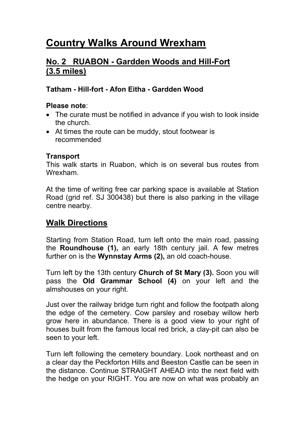# **Country Walks Around Wrexham**

## **No. 2 RUABON - Gardden Woods and Hill-Fort (3.5 miles)**

### **Tatham - Hill-fort - Afon Eitha - Gardden Wood**

#### **Please note**:

- The curate must be notified in advance if you wish to look inside the church.
- At times the route can be muddy, stout footwear is recommended

#### **Transport**

This walk starts in Ruabon, which is on several bus routes from Wrexham.

At the time of writing free car parking space is available at Station Road (grid ref. SJ 300438) but there is also parking in the village centre nearby.

### **Walk Directions**

Starting from Station Road, turn left onto the main road, passing the **Roundhouse (1),** an early 18th century jail. A few metres further on is the **Wynnstay Arms (2),** an old coach-house.

Turn left by the 13th century **Church of St Mary (3).** Soon you will pass the **Old Grammar School (4)** on your left and the almshouses on your right.

Just over the railway bridge turn right and follow the footpath along the edge of the cemetery. Cow parsley and rosebay willow herb grow here in abundance. There is a good view to your right of houses built from the famous local red brick, a clay-pit can also be seen to your left.

Turn left following the cemetery boundary. Look northeast and on a clear day the Peckforton Hills and Beeston Castle can be seen in the distance. Continue STRAIGHT AHEAD into the next field with the hedge on your RIGHT. You are now on what was probably an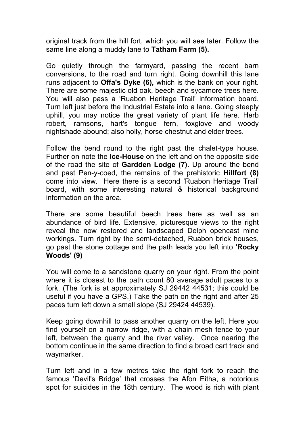original track from the hill fort, which you will see later. Follow the same line along a muddy lane to **Tatham Farm (5).** 

Go quietly through the farmyard, passing the recent barn conversions, to the road and turn right. Going downhill this lane runs adjacent to **Offa's Dyke (6),** which is the bank on your right. There are some majestic old oak, beech and sycamore trees here. You will also pass a 'Ruabon Heritage Trail' information board. Turn left just before the Industrial Estate into a lane. Going steeply uphill, you may notice the great variety of plant life here. Herb robert, ramsons, hart's tongue fern, foxglove and woody nightshade abound; also holly, horse chestnut and elder trees.

Follow the bend round to the right past the chalet-type house. Further on note the **Ice-House** on the left and on the opposite side of the road the site of **Gardden Lodge (7).** Up around the bend and past Pen-y-coed, the remains of the prehistoric **Hillfort (8)**  come into view. Here there is a second 'Ruabon Heritage Trail' board, with some interesting natural & historical background information on the area.

There are some beautiful beech trees here as well as an abundance of bird life. Extensive, picturesque views to the right reveal the now restored and landscaped Delph opencast mine workings. Turn right by the semi-detached, Ruabon brick houses, go past the stone cottage and the path leads you left into **'Rocky Woods' (9)** 

You will come to a sandstone quarry on your right. From the point where it is closest to the path count 80 average adult paces to a fork. (The fork is at approximately SJ 29442 44531; this could be useful if you have a GPS.) Take the path on the right and after 25 paces turn left down a small slope (SJ 29424 44539).

Keep going downhill to pass another quarry on the left. Here you find yourself on a narrow ridge, with a chain mesh fence to your left, between the quarry and the river valley. Once nearing the bottom continue in the same direction to find a broad cart track and waymarker.

Turn left and in a few metres take the right fork to reach the famous 'Devil's Bridge' that crosses the Afon Eitha, a notorious spot for suicides in the 18th century. The wood is rich with plant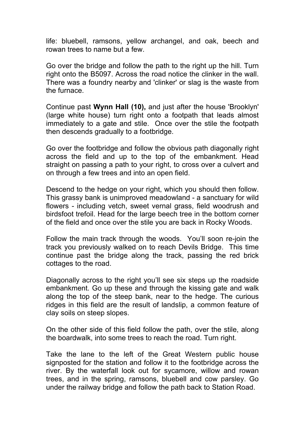life: bluebell, ramsons, yellow archangel, and oak, beech and rowan trees to name but a few.

Go over the bridge and follow the path to the right up the hill. Turn right onto the B5097. Across the road notice the clinker in the wall. There was a foundry nearby and 'clinker' or slag is the waste from the furnace.

Continue past **Wynn Hall (10),** and just after the house 'Brooklyn' (large white house) turn right onto a footpath that leads almost immediately to a gate and stile. Once over the stile the footpath then descends gradually to a footbridge.

Go over the footbridge and follow the obvious path diagonally right across the field and up to the top of the embankment. Head straight on passing a path to your right, to cross over a culvert and on through a few trees and into an open field.

Descend to the hedge on your right, which you should then follow. This grassy bank is unimproved meadowland - a sanctuary for wild flowers - including vetch, sweet vernal grass, field woodrush and birdsfoot trefoil. Head for the large beech tree in the bottom corner of the field and once over the stile you are back in Rocky Woods.

Follow the main track through the woods. You'll soon re-join the track you previously walked on to reach Devils Bridge. This time continue past the bridge along the track, passing the red brick cottages to the road.

Diagonally across to the right you'll see six steps up the roadside embankment. Go up these and through the kissing gate and walk along the top of the steep bank, near to the hedge. The curious ridges in this field are the result of landslip, a common feature of clay soils on steep slopes.

On the other side of this field follow the path, over the stile, along the boardwalk, into some trees to reach the road. Turn right.

Take the lane to the left of the Great Western public house signposted for the station and follow it to the footbridge across the river. By the waterfall look out for sycamore, willow and rowan trees, and in the spring, ramsons, bluebell and cow parsley. Go under the railway bridge and follow the path back to Station Road.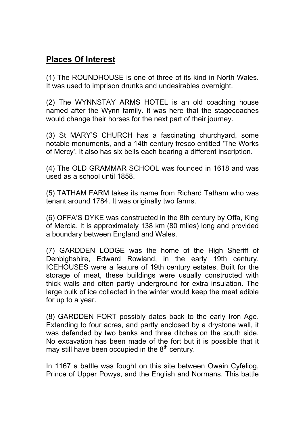# **Places Of Interest**

(1) The ROUNDHOUSE is one of three of its kind in North Wales. It was used to imprison drunks and undesirables overnight.

(2) The WYNNSTAY ARMS HOTEL is an old coaching house named after the Wynn family. It was here that the stagecoaches would change their horses for the next part of their journey.

(3) St MARY'S CHURCH has a fascinating churchyard, some notable monuments, and a 14th century fresco entitled 'The Works of Mercy'. It also has six bells each bearing a different inscription.

(4) The OLD GRAMMAR SCHOOL was founded in 1618 and was used as a school until 1858.

(5) TATHAM FARM takes its name from Richard Tatham who was tenant around 1784. It was originally two farms.

(6) OFFA'S DYKE was constructed in the 8th century by Offa, King of Mercia. It is approximately 138 km (80 miles) long and provided a boundary between England and Wales.

(7) GARDDEN LODGE was the home of the High Sheriff of Denbighshire, Edward Rowland, in the early 19th century. ICEHOUSES were a feature of 19th century estates. Built for the storage of meat, these buildings were usually constructed with thick walls and often partly underground for extra insulation. The large bulk of ice collected in the winter would keep the meat edible for up to a year.

(8) GARDDEN FORT possibly dates back to the early Iron Age. Extending to four acres, and partly enclosed by a drystone wall, it was defended by two banks and three ditches on the south side. No excavation has been made of the fort but it is possible that it may still have been occupied in the  $8<sup>th</sup>$  century.

In 1167 a battle was fought on this site between Owain Cyfeliog, Prince of Upper Powys, and the English and Normans. This battle